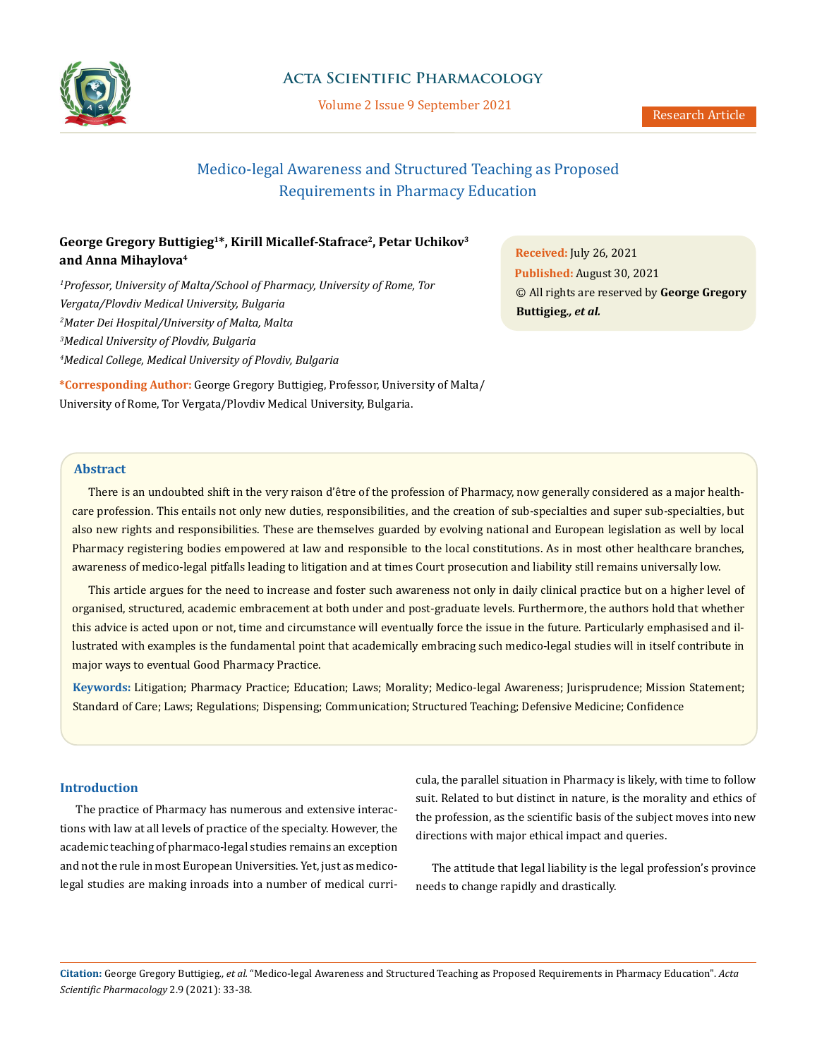

## **Acta Scientific Pharmacology**

Volume 2 Issue 9 September 2021

# Medico-legal Awareness and Structured Teaching as Proposed Requirements in Pharmacy Education

## **George Gregory Buttigieg1\*, Kirill Micallef-Stafrace2, Petar Uchikov3 and Anna Mihaylova4**

<sup>1</sup> Professor, University of Malta/School of Pharmacy, University of Rome, Tor *Vergata/Plovdiv Medical University, Bulgaria 2 Mater Dei Hospital/University of Malta, Malta 3 Medical University of Plovdiv, Bulgaria 4 Medical College, Medical University of Plovdiv, Bulgaria*

**\*Corresponding Author:** George Gregory Buttigieg, Professor, University of Malta/ University of Rome, Tor Vergata/Plovdiv Medical University, Bulgaria.

**Received:** July 26, 2021 **Published:** August 30, 2021 © All rights are reserved by **George Gregory Buttigieg***., et al.*

## **Abstract**

There is an undoubted shift in the very raison d'être of the profession of Pharmacy, now generally considered as a major healthcare profession. This entails not only new duties, responsibilities, and the creation of sub-specialties and super sub-specialties, but also new rights and responsibilities. These are themselves guarded by evolving national and European legislation as well by local Pharmacy registering bodies empowered at law and responsible to the local constitutions. As in most other healthcare branches, awareness of medico-legal pitfalls leading to litigation and at times Court prosecution and liability still remains universally low.

This article argues for the need to increase and foster such awareness not only in daily clinical practice but on a higher level of organised, structured, academic embracement at both under and post-graduate levels. Furthermore, the authors hold that whether this advice is acted upon or not, time and circumstance will eventually force the issue in the future. Particularly emphasised and illustrated with examples is the fundamental point that academically embracing such medico-legal studies will in itself contribute in major ways to eventual Good Pharmacy Practice.

**Keywords:** Litigation; Pharmacy Practice; Education; Laws; Morality; Medico-legal Awareness; Jurisprudence; Mission Statement; Standard of Care; Laws; Regulations; Dispensing; Communication; Structured Teaching; Defensive Medicine; Confidence

### **Introduction**

The practice of Pharmacy has numerous and extensive interactions with law at all levels of practice of the specialty. However, the academic teaching of pharmaco-legal studies remains an exception and not the rule in most European Universities. Yet, just as medicolegal studies are making inroads into a number of medical curricula, the parallel situation in Pharmacy is likely, with time to follow suit. Related to but distinct in nature, is the morality and ethics of the profession, as the scientific basis of the subject moves into new directions with major ethical impact and queries.

The attitude that legal liability is the legal profession's province needs to change rapidly and drastically.

**Citation:** George Gregory Buttigieg*., et al.* "Medico-legal Awareness and Structured Teaching as Proposed Requirements in Pharmacy Education". *Acta Scientific Pharmacology* 2.9 (2021): 33-38.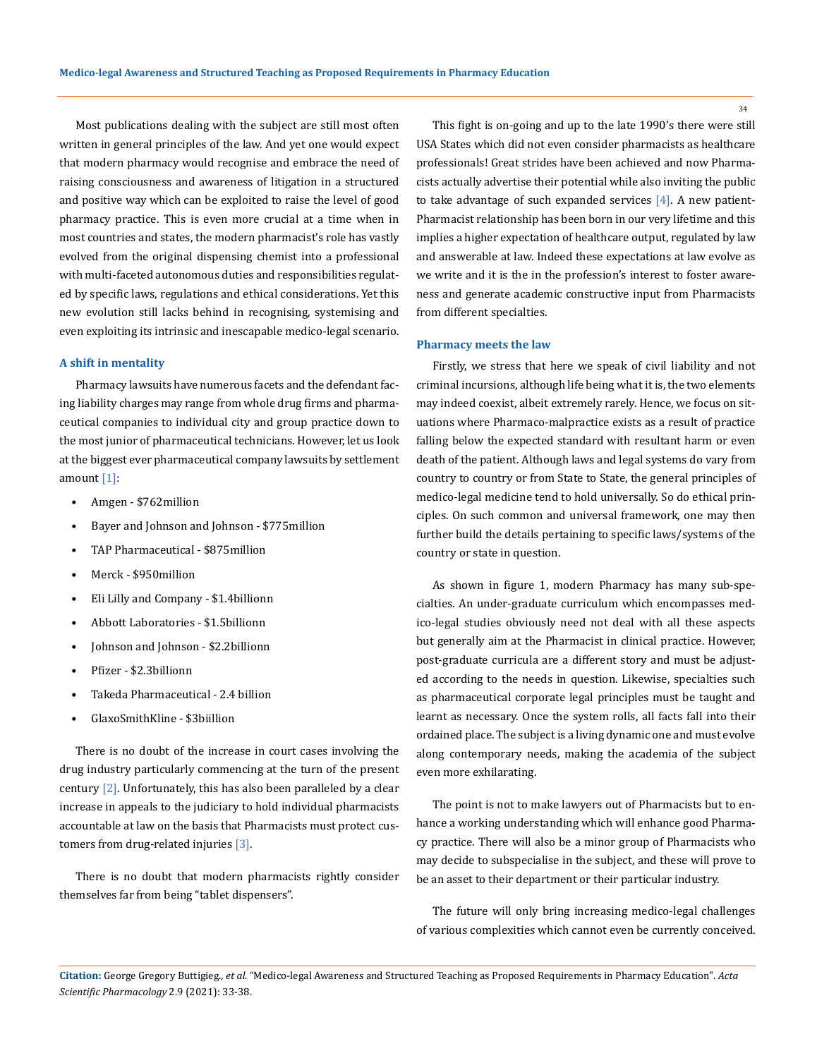Most publications dealing with the subject are still most often written in general principles of the law. And yet one would expect that modern pharmacy would recognise and embrace the need of raising consciousness and awareness of litigation in a structured and positive way which can be exploited to raise the level of good pharmacy practice. This is even more crucial at a time when in most countries and states, the modern pharmacist's role has vastly evolved from the original dispensing chemist into a professional with multi-faceted autonomous duties and responsibilities regulated by specific laws, regulations and ethical considerations. Yet this new evolution still lacks behind in recognising, systemising and even exploiting its intrinsic and inescapable medico-legal scenario.

#### **A shift in mentality**

Pharmacy lawsuits have numerous facets and the defendant facing liability charges may range from whole drug firms and pharmaceutical companies to individual city and group practice down to the most junior of pharmaceutical technicians. However, let us look at the biggest ever pharmaceutical company lawsuits by settlement amount [1]:

- Amgen \$762million
- Bayer and Johnson and Johnson \$775million
- TAP Pharmaceutical \$875million
- Merck \$950million
- Eli Lilly and Company \$1.4billionn
- Abbott Laboratories \$1.5billionn
- Johnson and Johnson \$2.2billionn
- Pfizer \$2.3billionn
- Takeda Pharmaceutical 2.4 billion
- GlaxoSmithKline \$3biillion

There is no doubt of the increase in court cases involving the drug industry particularly commencing at the turn of the present century  $[2]$ . Unfortunately, this has also been paralleled by a clear increase in appeals to the judiciary to hold individual pharmacists accountable at law on the basis that Pharmacists must protect customers from drug-related injuries [3].

There is no doubt that modern pharmacists rightly consider themselves far from being "tablet dispensers".

This fight is on-going and up to the late 1990's there were still USA States which did not even consider pharmacists as healthcare professionals! Great strides have been achieved and now Pharmacists actually advertise their potential while also inviting the public to take advantage of such expanded services  $[4]$ . A new patient-Pharmacist relationship has been born in our very lifetime and this implies a higher expectation of healthcare output, regulated by law and answerable at law. Indeed these expectations at law evolve as we write and it is the in the profession's interest to foster awareness and generate academic constructive input from Pharmacists from different specialties.

#### **Pharmacy meets the law**

Firstly, we stress that here we speak of civil liability and not criminal incursions, although life being what it is, the two elements may indeed coexist, albeit extremely rarely. Hence, we focus on situations where Pharmaco-malpractice exists as a result of practice falling below the expected standard with resultant harm or even death of the patient. Although laws and legal systems do vary from country to country or from State to State, the general principles of medico-legal medicine tend to hold universally. So do ethical principles. On such common and universal framework, one may then further build the details pertaining to specific laws/systems of the country or state in question.

As shown in figure 1, modern Pharmacy has many sub-specialties. An under-graduate curriculum which encompasses medico-legal studies obviously need not deal with all these aspects but generally aim at the Pharmacist in clinical practice. However, post-graduate curricula are a different story and must be adjusted according to the needs in question. Likewise, specialties such as pharmaceutical corporate legal principles must be taught and learnt as necessary. Once the system rolls, all facts fall into their ordained place. The subject is a living dynamic one and must evolve along contemporary needs, making the academia of the subject even more exhilarating.

The point is not to make lawyers out of Pharmacists but to enhance a working understanding which will enhance good Pharmacy practice. There will also be a minor group of Pharmacists who may decide to subspecialise in the subject, and these will prove to be an asset to their department or their particular industry.

The future will only bring increasing medico-legal challenges of various complexities which cannot even be currently conceived.

34

**Citation:** George Gregory Buttigieg*., et al.* "Medico-legal Awareness and Structured Teaching as Proposed Requirements in Pharmacy Education". *Acta Scientific Pharmacology* 2.9 (2021): 33-38.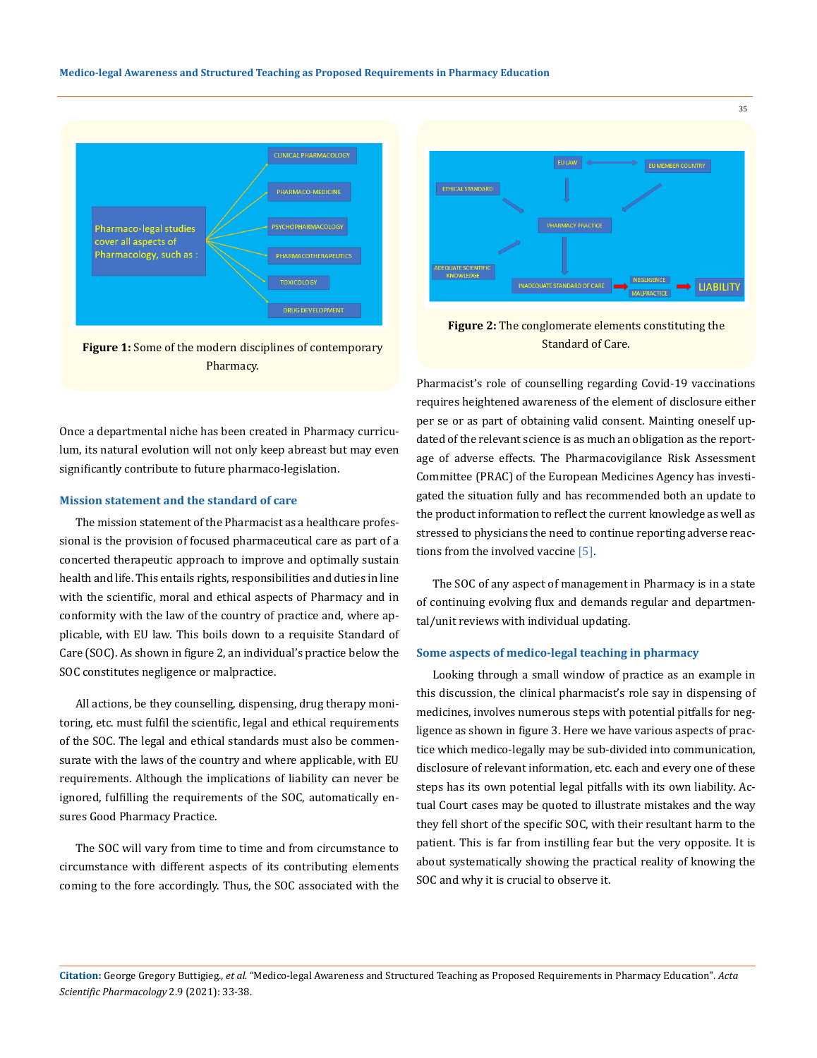

**Figure 1:** Some of the modern disciplines of contemporary Pharmacy.



**Figure 2:** The conglomerate elements constituting the Standard of Care.

Once a departmental niche has been created in Pharmacy curriculum, its natural evolution will not only keep abreast but may even significantly contribute to future pharmaco-legislation.

#### **Mission statement and the standard of care**

The mission statement of the Pharmacist as a healthcare professional is the provision of focused pharmaceutical care as part of a concerted therapeutic approach to improve and optimally sustain health and life. This entails rights, responsibilities and duties in line with the scientific, moral and ethical aspects of Pharmacy and in conformity with the law of the country of practice and, where applicable, with EU law. This boils down to a requisite Standard of Care (SOC). As shown in figure 2, an individual's practice below the SOC constitutes negligence or malpractice.

All actions, be they counselling, dispensing, drug therapy monitoring, etc. must fulfil the scientific, legal and ethical requirements of the SOC. The legal and ethical standards must also be commensurate with the laws of the country and where applicable, with EU requirements. Although the implications of liability can never be ignored, fulfilling the requirements of the SOC, automatically ensures Good Pharmacy Practice.

The SOC will vary from time to time and from circumstance to circumstance with different aspects of its contributing elements coming to the fore accordingly. Thus, the SOC associated with the Pharmacist's role of counselling regarding Covid-19 vaccinations requires heightened awareness of the element of disclosure either per se or as part of obtaining valid consent. Mainting oneself updated of the relevant science is as much an obligation as the reportage of adverse effects. The Pharmacovigilance Risk Assessment Committee (PRAC) of the European Medicines Agency has investigated the situation fully and has recommended both an update to the product information to reflect the current knowledge as well as stressed to physicians the need to continue reporting adverse reactions from the involved vaccine [5].

The SOC of any aspect of management in Pharmacy is in a state of continuing evolving flux and demands regular and departmental/unit reviews with individual updating.

### **Some aspects of medico-legal teaching in pharmacy**

Looking through a small window of practice as an example in this discussion, the clinical pharmacist's role say in dispensing of medicines, involves numerous steps with potential pitfalls for negligence as shown in figure 3. Here we have various aspects of practice which medico-legally may be sub-divided into communication, disclosure of relevant information, etc. each and every one of these steps has its own potential legal pitfalls with its own liability. Actual Court cases may be quoted to illustrate mistakes and the way they fell short of the specific SOC, with their resultant harm to the patient. This is far from instilling fear but the very opposite. It is about systematically showing the practical reality of knowing the SOC and why it is crucial to observe it.

**Citation:** George Gregory Buttigieg*., et al.* "Medico-legal Awareness and Structured Teaching as Proposed Requirements in Pharmacy Education". *Acta Scientific Pharmacology* 2.9 (2021): 33-38.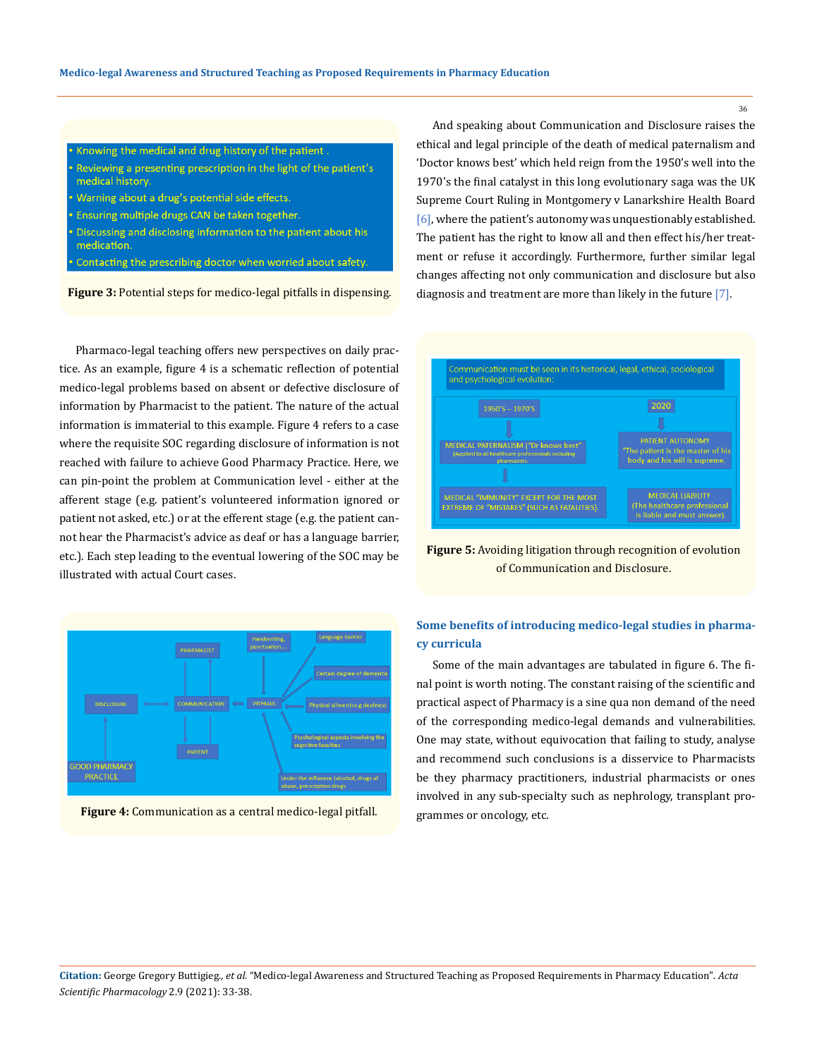- Knowing the medical and drug history of the patient.
- Reviewing a presenting prescription in the light of the patient's medical history.
- Warning about a drug's potential side effects.
- Ensuring multiple drugs CAN be taken together.
- Discussing and disclosing information to the patient about his medication.
- Contacting the prescribing doctor when worried about safety.

**Figure 3:** Potential steps for medico-legal pitfalls in dispensing.

Pharmaco-legal teaching offers new perspectives on daily practice. As an example, figure 4 is a schematic reflection of potential medico-legal problems based on absent or defective disclosure of information by Pharmacist to the patient. The nature of the actual information is immaterial to this example. Figure 4 refers to a case where the requisite SOC regarding disclosure of information is not reached with failure to achieve Good Pharmacy Practice. Here, we can pin-point the problem at Communication level - either at the afferent stage (e.g. patient's volunteered information ignored or patient not asked, etc.) or at the efferent stage (e.g. the patient cannot hear the Pharmacist's advice as deaf or has a language barrier, etc.). Each step leading to the eventual lowering of the SOC may be illustrated with actual Court cases.





And speaking about Communication and Disclosure raises the ethical and legal principle of the death of medical paternalism and 'Doctor knows best' which held reign from the 1950's well into the 1970's the final catalyst in this long evolutionary saga was the UK Supreme Court Ruling in Montgomery v Lanarkshire Health Board [6], where the patient's autonomy was unquestionably established. The patient has the right to know all and then effect his/her treatment or refuse it accordingly. Furthermore, further similar legal changes affecting not only communication and disclosure but also diagnosis and treatment are more than likely in the future [7].



**Figure 5:** Avoiding litigation through recognition of evolution of Communication and Disclosure.

## **Some benefits of introducing medico-legal studies in pharmacy curricula**

Some of the main advantages are tabulated in figure 6. The final point is worth noting. The constant raising of the scientific and practical aspect of Pharmacy is a sine qua non demand of the need of the corresponding medico-legal demands and vulnerabilities. One may state, without equivocation that failing to study, analyse and recommend such conclusions is a disservice to Pharmacists be they pharmacy practitioners, industrial pharmacists or ones involved in any sub-specialty such as nephrology, transplant programmes or oncology, etc.

**Citation:** George Gregory Buttigieg*., et al.* "Medico-legal Awareness and Structured Teaching as Proposed Requirements in Pharmacy Education". *Acta Scientific Pharmacology* 2.9 (2021): 33-38.

36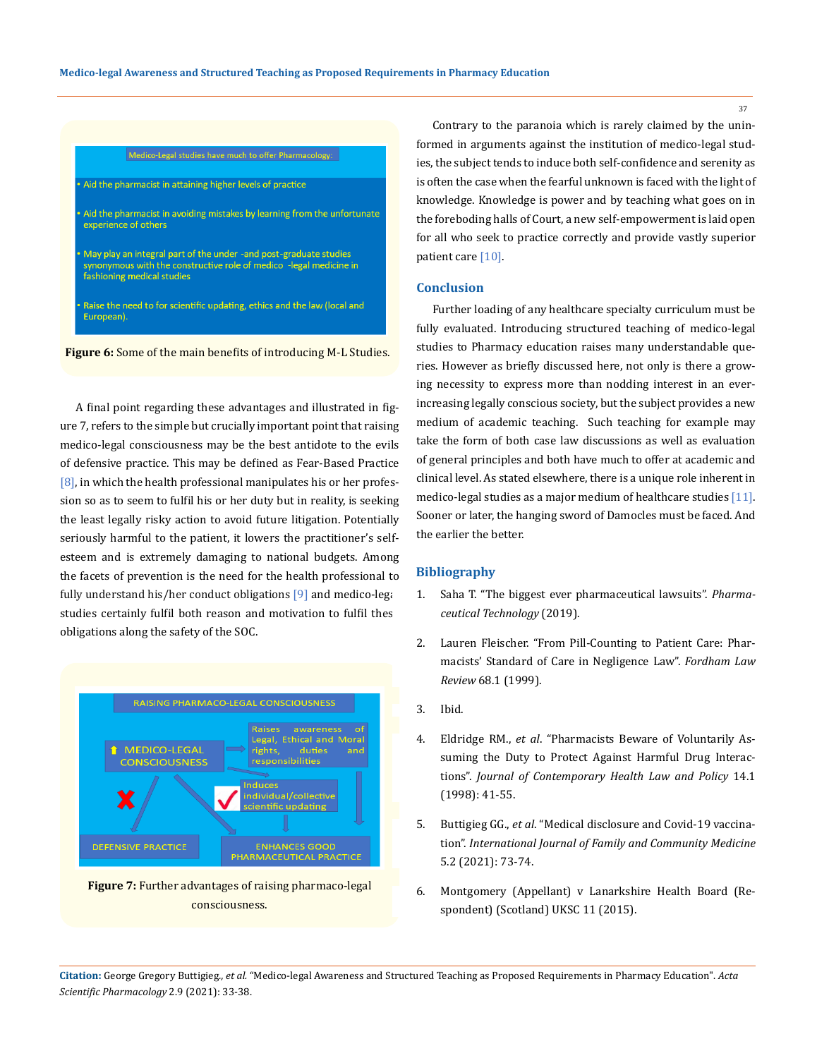#### Medico-Legal studies have much to offer Pharmacology:

Aid the pharmacist in attaining higher levels of practice

- Aid the pharmacist in avoiding mistakes by learning from the unfortunate experience of others
- May play an integral part of the under -and post-graduate studies synonymous with the constructive role of medico -legal medicine in fashioning medical studies
- Raise the need to for scientific updating, ethics and the law (local and European).

**Figure 6:** Some of the main benefits of introducing M-L Studies.

A final point regarding these advantages and illustrated in figure 7, refers to the simple but crucially important point that raising medico-legal consciousness may be the best antidote to the evils of defensive practice. This may be defined as Fear-Based Practice  $[8]$ , in which the health professional manipulates his or her profession so as to seem to fulfil his or her duty but in reality, is seeking the least legally risky action to avoid future litigation. Potentially seriously harmful to the patient, it lowers the practitioner's selfesteem and is extremely damaging to national budgets. Among the facets of prevention is the need for the health professional to fully understand his/her conduct obligations  $[9]$  and medico-legally studies certainly fulfil both reason and motivation to fulfil thes obligations along the safety of the SOC.



**Figure 7:** Further advantages of raising pharmaco-legal consciousness.

Contrary to the paranoia which is rarely claimed by the uninformed in arguments against the institution of medico-legal studies, the subject tends to induce both self-confidence and serenity as is often the case when the fearful unknown is faced with the light of knowledge. Knowledge is power and by teaching what goes on in the foreboding halls of Court, a new self-empowerment is laid open for all who seek to practice correctly and provide vastly superior patient care [10].

### **Conclusion**

Further loading of any healthcare specialty curriculum must be fully evaluated. Introducing structured teaching of medico-legal studies to Pharmacy education raises many understandable queries. However as briefly discussed here, not only is there a growing necessity to express more than nodding interest in an everincreasing legally conscious society, but the subject provides a new medium of academic teaching. Such teaching for example may take the form of both case law discussions as well as evaluation of general principles and both have much to offer at academic and clinical level. As stated elsewhere, there is a unique role inherent in medico-legal studies as a major medium of healthcare studies [11]. Sooner or later, the hanging sword of Damocles must be faced. And the earlier the better.

#### **Bibliography**

- 1. [Saha T. "The biggest ever pharmaceutical lawsuits".](https://www.pharmaceutical-technology.com/features/biggest-pharmaceutical-lawsuits/) *Pharma[ceutical Technology](https://www.pharmaceutical-technology.com/features/biggest-pharmaceutical-lawsuits/)* (2019).
- 2. [Lauren Fleischer. "From Pill-Counting to Patient Care: Phar](https://ir.lawnet.fordham.edu/cgi/viewcontent.cgi?article=3599&context=flr)[macists' Standard of Care in Negligence Law".](https://ir.lawnet.fordham.edu/cgi/viewcontent.cgi?article=3599&context=flr) *Fordham Law Review* [68.1 \(1999\).](https://ir.lawnet.fordham.edu/cgi/viewcontent.cgi?article=3599&context=flr)
- 3. Ibid.
- 4. Eldridge RM., *et al*. "Pharmacists Beware of Voluntarily Assuming the Duty to Protect Against Harmful Drug Interactions". *Journal of Contemporary Health Law and Policy* 14.1 (1998): 41-55.
- 5. Buttigieg GG., *et al*[. "Medical disclosure and Covid-19 vaccina](https://medcraveonline.com/IJFCM/IJFCM-05-00225.pdf)tion". *[International Journal of Family and Community Medicine](https://medcraveonline.com/IJFCM/IJFCM-05-00225.pdf)*  [5.2 \(2021\): 73-74.](https://medcraveonline.com/IJFCM/IJFCM-05-00225.pdf)
- 6. Montgomery (Appellant) v Lanarkshire Health Board (Respondent) (Scotland) UKSC 11 (2015).

**Citation:** George Gregory Buttigieg*., et al.* "Medico-legal Awareness and Structured Teaching as Proposed Requirements in Pharmacy Education". *Acta Scientific Pharmacology* 2.9 (2021): 33-38.

37